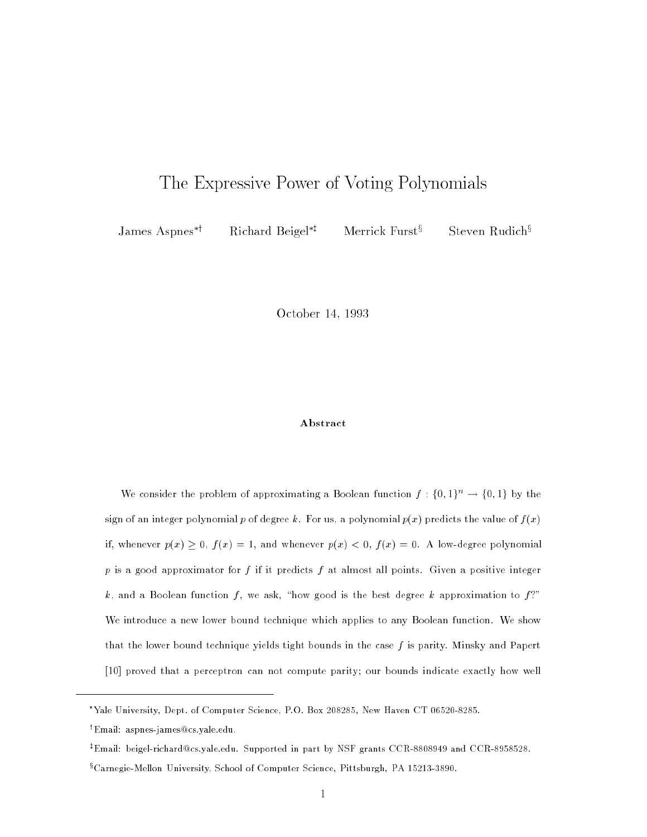# The Expressive Power of Voting Polynomials Polynomials Power Power Company Polynomials Power Power Power Polyn

James Aspnes<sup>\*†</sup> Richard Beigel<sup>\*†</sup> Merrick Furst<sup>§</sup>

Steven Rudich<sup>§</sup>

October 14, 1993

# Abstract

We consider the problem of approximating a Boolean function  $f: \{0,1\}^n \to \{0,1\}$  by the sign of an integer polynomial p of degree k. For us, a polynomial  $p(x)$  predicts the value of  $f(x)$ if, whenever  $p(x) \ge 0$ ,  $f(x) = 1$ , and whenever  $p(x) < 0$ ,  $f(x) = 0$ . A low-degree polynomial  $p$  is a good approximator for  $f$  if it predicts  $f$  at almost all points. Given a positive integer k, and a Boolean function f, we ask, "how good is the best degree k approximation to  $f$ ?" We introduce a new lower bound technique which applies to any Boolean function. We show that the lower bound technique yields tight bounds in the case  $f$  is parity. Minsky and Papert [10] proved that a perceptron can not compute parity; our bounds indicate exactly how well

Yale University, Dept. of Computer Science, P.O. Box 208285, New Haven CT 06520-8285.

<sup>y</sup> Email: aspnes-james@cs.yale.edu.

<sup>z</sup> Email: beigel-richard@cs.yale.edu. Supported in part by NSF grants CCR-8808949 and CCR-8958528.

<sup>x</sup> Carnegie-Mellon University, School of Computer Science, Pittsburgh, PA 15213-3890.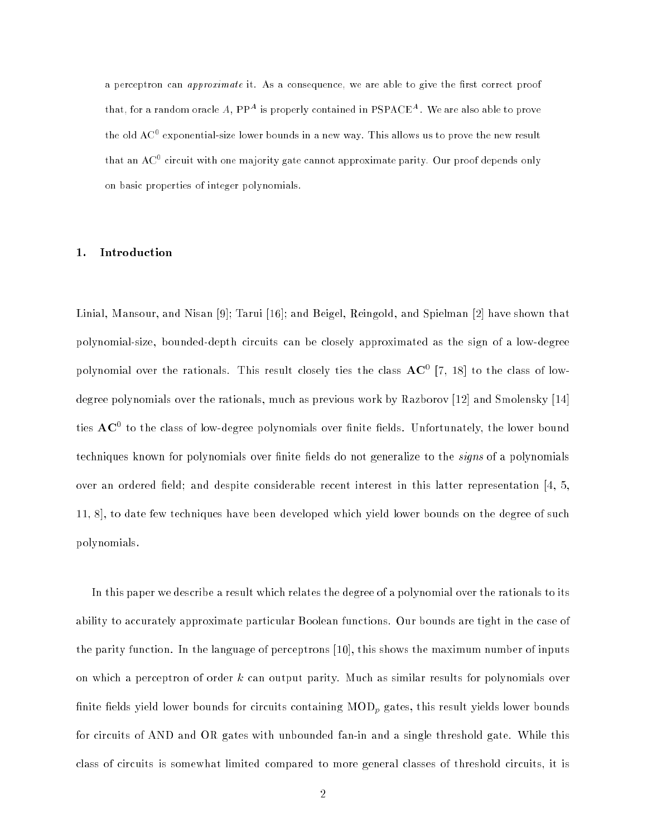a perceptron can *approximate* it. As a consequence, we are able to give the first correct proof that, for a random oracle A,  $PP<sup>A</sup>$  is properly contained in PSPACE<sup>A</sup>. We are also able to prove the old  $A\cup^+$  exponential-size lower bounds in a new way. This allows us to prove the new result that an AC° circuit with one majority gate cannot approximate parity. Our proof depends only on basic properties of integer polynomials.

# 1. Introduction

Linial, Mansour, and Nisan [9]; Tarui [16]; and Beigel, Reingold, and Spielman [2] have shown that polynomial-size, bounded-depth circuits can be closely approximated as the sign of a low-degree polynomial over the rationals. This result closely ties the class  $\rm{AC}$  [7, 18] to the class of lowdegree polynomials over the rationals, much as previous work by Razborov [12] and Smolensky [14] ties  ${\bf AC}^+$  to the class of low-degree polynomials over finite fields. Unfortunately, the lower bound techniques known for polynomials over finite fields do not generalize to the *signs* of a polynomials over an ordered field; and despite considerable recent interest in this latter representation  $\left[4, 5, \right]$ 11, 8], to date few techniques have been developed which yield lower bounds on the degree of such polynomials.

In this paper we describe a result which relates the degree of a polynomial over the rationals to its ability to accurately approximate particular Boolean functions. Our bounds are tight in the case of the parity function. In the language of perceptrons [10], this shows the maximum number of inputs on which a perceptron of order  $k$  can output parity. Much as similar results for polynomials over finite fields yield lower bounds for circuits containing  $\text{MOD}_p$  gates, this result yields lower bounds for circuits of AND and OR gates with unbounded fan-in and a single threshold gate. While this class of circuits is somewhat limited compared to more general classes of threshold circuits, it is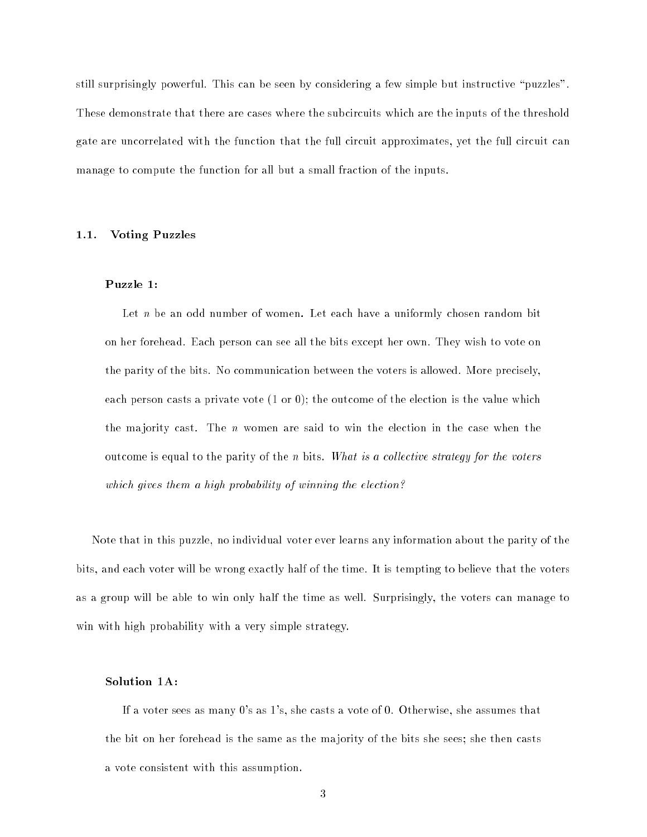still surprisingly powerful. This can be seen by considering a few simple but instructive "puzzles". These demonstrate that there are cases where the subcircuits which are the inputs of the threshold gate are uncorrelated with the function that the full circuit approximates, yet the full circuit can manage to compute the function for all but a small fraction of the inputs.

# 1.1. Voting Puzzles

# Puzzle 1:

Let  $n$  be an odd number of women. Let each have a uniformly chosen random bit on her forehead. Each person can see all the bits except her own. They wish to vote on the parity of the bits. No communication between the voters is allowed. More precisely, each person casts a private vote  $(1 \text{ or } 0)$ ; the outcome of the election is the value which the majority cast. The  $n$  women are said to win the election in the case when the outcome is equal to the parity of the n bits. What is a collective strategy for the voters which gives them a high probability of winning the election?

Note that in this puzzle, no individual voter ever learns any information about the parity of the bits, and each voter will be wrong exactly half of the time. It is tempting to believe that the voters as a group will be able to win only half the time as well. Surprisingly, the voters can manage to win with high probability with a very simple strategy.

# Solution 1A:

If a voter sees as many 0's as 1's, she casts a vote of 0. Otherwise, she assumes that the bit on her forehead is the same as the ma jority of the bits she sees; she then casts a vote consistent with this assumption.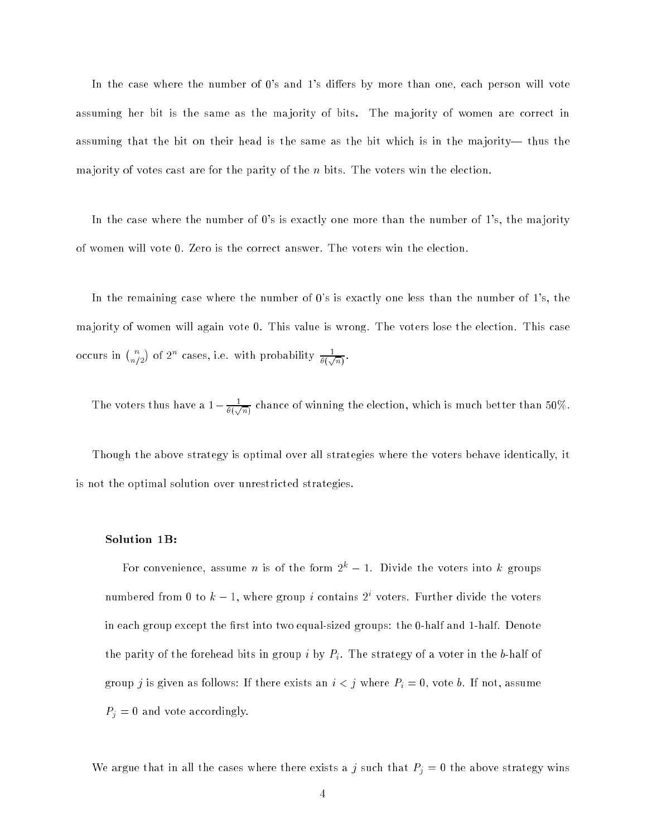In the case where the number of  $0$ 's and  $1$ 's differs by more than one, each person will vote assuming her bit is the same as the ma jority of bits. The ma jority of women are correct in assuming that the bit on their head is the same as the bit which is in the majority— thus the ma jority of votes cast are for the parity of the n bits. The voters win the election.

In the case where the number of 0's is exactly one more than the number of 1's, the majority of women will vote 0. Zero is the correct answer. The voters win the election.

In the remaining case where the number of 0's is exactly one less than the number of 1's, the ma jority of women will again vote 0. This value is wrong. The voters lose the election. This case occurs in  $\binom{n}{n/2}$  of  $2^n$  cases, i.e. with probability  $\frac{1}{\theta(\sqrt{n})}$ .

The voters thus have a  $1 - \frac{1}{\theta(\sqrt{n})}$  chance of winning the election, which is much better than 50%.

Though the above strategy is optimal over all strategies where the voters behave identically, it is not the optimal solution over unrestricted strategies.

# Solution 1B:

For convenience, assume *n* is of the form  $2^k - 1$ . Divide the voters into *k* groups numbered from 0 to  $k-1$ , where group i contains  $2<sup>i</sup>$  voters. Further divide the voters in each group except the first into two equal-sized groups: the 0-half and 1-half. Denote the parity of the forehead bits in group i by  $P_i$ . The strategy of a voter in the b-half of group j is given as follows: If there exists an  $i < j$  where  $P_i = 0$ , vote b. If not, assume  $P_j = 0$  and vote accordingly.

We argue that in all the cases where there exists a j such that  $P_j = 0$  the above strategy wins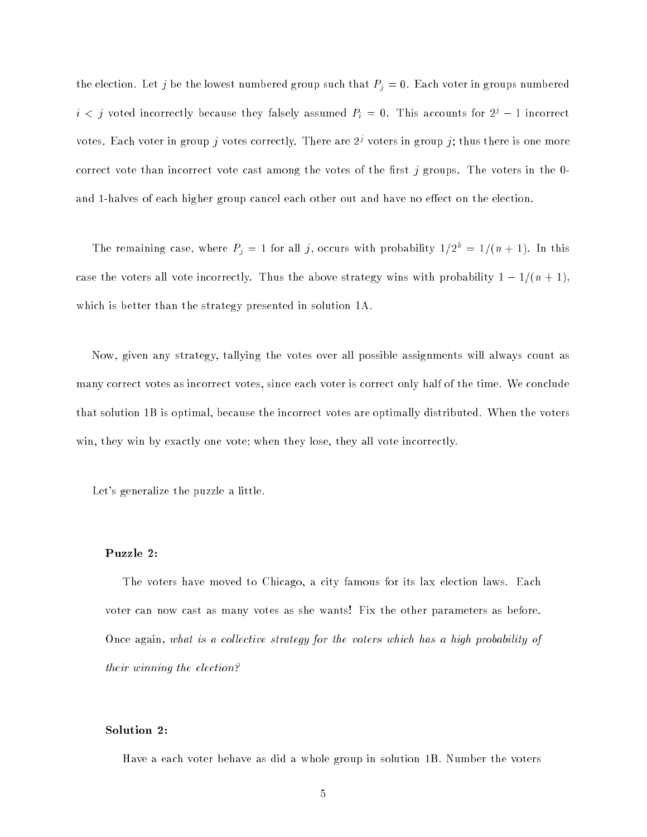the election. Let j be the lowest numbered group such that  $P_j = 0$ . Each voter in groups numbered  $i < j$  voted incorrectly because they falsely assumed  $P_i = 0$ . This accounts for  $2^{j} - 1$  incorrect votes. Each voter in group j votes correctly. There are  $2<sup>j</sup>$  voters in group j; thus there is one more correct vote than incorrect vote cast among the votes of the first j groups. The voters in the 0and 1-halves of each higher group cancel each other out and have no effect on the election.

The remaining case, where  $P_j = 1$  for all j, occurs with probability  $1/2^k = 1/(n + 1)$ . In this case the voters all vote incorrectly. Thus the above strategy wins with probability  $1-1/(n + 1)$ , which is better than the strategy presented in solution 1A.

Now, given any strategy, tallying the votes over all possible assignments will always count as many correct votes as incorrect votes, since each voter is correct only half of the time. We conclude that solution 1B is optimal, because the incorrect votes are optimally distributed. When the voters win, they win by exactly one vote; when they lose, they all vote incorrectly.

Let's generalize the puzzle a little.

# Puzzle 2:

The voters have moved to Chicago, a city famous for its lax election laws. Each voter can now cast as many votes as she wants! Fix the other parameters as before. Once again, what is a collective strategy for the voters which has a high probability of their winning the election?

#### Solution 2:

Have a each voter behave as did a whole group in solution 1B. Number the voters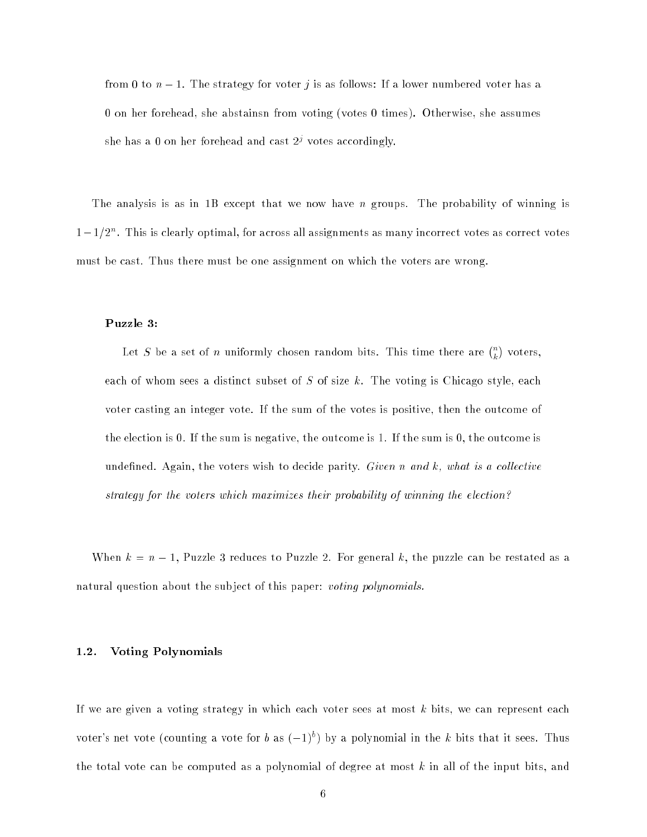from 0 to  $n-1$ . The strategy for voter j is as follows: If a lower numbered voter has a 0 on her forehead, she abstainsn from voting (votes 0 times). Otherwise, she assumes she has a 0 on her forehead and cast  $2<sup>j</sup>$  votes accordingly.

The analysis is as in 1B except that we now have *n* groups. The probability of winning is  $1-1/2^n$ . This is clearly optimal, for across all assignments as many incorrect votes as correct votes must be cast. Thus there must be one assignment on which the voters are wrong.

#### Puzzle 3:

Let S be a set of n uniformly chosen random bits. This time there are  $\binom{n}{k}$ voters, each of whom sees a distinct subset of  $S$  of size  $k$ . The voting is Chicago style, each voter casting an integer vote. If the sum of the votes is positive, then the outcome of the election is 0. If the sum is negative, the outcome is 1. If the sum is 0, the outcome is undefined. Again, the voters wish to decide parity. Given n and  $k$ , what is a collective strategy for the voters which maximizes their probability of winning the election?

When  $k = n - 1$ , Puzzle 3 reduces to Puzzle 2. For general k, the puzzle can be restated as a natural question about the subject of this paper: voting polynomials.

#### 1.2. Voting Polynomials

If we are given a voting strategy in which each voter sees at most  $k$  bits, we can represent each voter's net vote (counting a vote for b as  $(-1)^b$ ) by a polynomial in the k bits that it sees. Thus the total vote can be computed as a polynomial of degree at most  $k$  in all of the input bits, and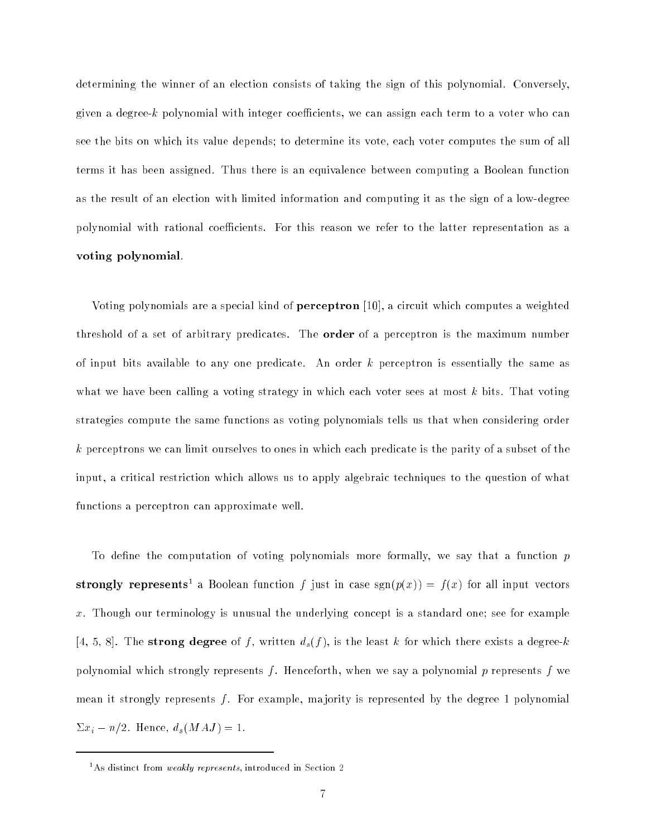determining the winner of an election consists of taking the sign of this polynomial. Conversely, given a degree-k polynomial with integer coefficients, we can assign each term to a voter who can see the bits on which its value depends; to determine its vote, each voter computes the sum of all terms it has been assigned. Thus there is an equivalence between computing a Boolean function as the result of an election with limited information and computing it as the sign of a low-degree polynomial with rational coefficients. For this reason we refer to the latter representation as a voting polynomial.

Voting polynomials are a special kind of perceptron [10], a circuit which computes a weighted threshold of a set of arbitrary predicates. The order of a perceptron is the maximum number of input bits available to any one predicate. An order  $k$  perceptron is essentially the same as what we have been calling a voting strategy in which each voter sees at most  $k$  bits. That voting strategies compute the same functions as voting polynomials tells us that when considering order  $k$  perceptrons we can limit ourselves to ones in which each predicate is the parity of a subset of the input, a critical restriction which allows us to apply algebraic techniques to the question of what functions a perceptron can approximate well.

To define the computation of voting polynomials more formally, we say that a function  $p$ strongly represents a Boolean function f just in case sgn( $p(x)$ ) = f(x) for all input vectors x. Though our terminology is unusual the underlying concept is a standard one; see for example [4, 5, 8]. The strong degree of f, written  $d_s(f)$ , is the least k for which there exists a degree-k polynomial which strongly represents f. Henceforth, when we say a polynomial p represents f we mean it strongly represents  $f$ . For example, majority is represented by the degree 1 polynomial  $\Sigma x_i - n/2$ . Hence,  $d_s(MAJ) = 1$ .

 $\,$  As distinct from  $\,$  weakly represents, introduced in Section 2  $\,$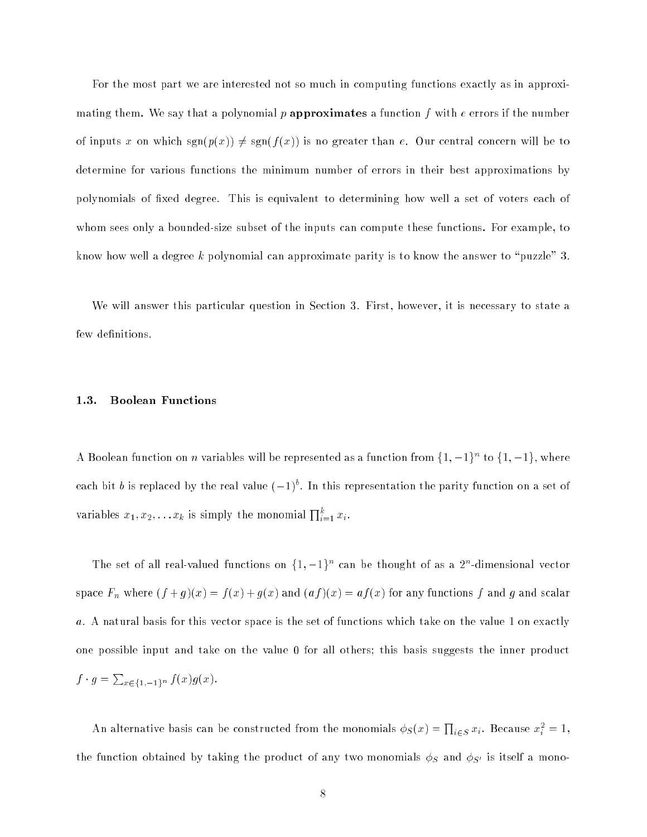For the most part we are interested not so much in computing functions exactly as in approximating them. We say that a polynomial p approximates a function f with  $e$  errors if the number of inputs x on which  $sgn(p(x)) \neq sgn(f(x))$  is no greater than e. Our central concern will be to determine for various functions the minimum number of errors in their best approximations by polynomials of fixed degree. This is equivalent to determining how well a set of voters each of whom sees only a bounded-size subset of the inputs can compute these functions. For example, to know how well a degree k polynomial can approximate parity is to know the answer to "puzzle" 3.

We will answer this particular question in Section 3. First, however, it is necessary to state a few definitions.

# 1.3. Boolean Functions

A Boolean function on n variables will be represented as a function from  $\{1, -1\}^n$  to  $\{1, -1\}$ , where each bit b is replaced by the real value  $(-1)^b$ . In this representation the parity function on a set of variables  $x_1, x_2, \ldots x_k$  is simply the monomial  $\prod_{i=1}^k x_i$ .

The set of all real-valued functions on  $\{1, -1\}^n$  can be thought of as a  $2^n$ -dimensional vector space  $F_n$  where  $(f+g)(x) = f(x) + g(x)$  and  $(af)(x) = af(x)$  for any functions f and g and scalar a. A natural basis for this vector space is the set of functions which take on the value 1 on exactly one possible input and take on the value 0 for all others; this basis suggests the inner product  $f \cdot g = \sum_{x \in \{1, -1\}^n} f(x)g(x).$ 

An alternative basis can be constructed from the monomials  $\phi_S(x) = \prod_{i \in S} x_i$ . Because  $x_i^2 = 1$ , the function obtained by taking the product of any two monomials  $\phi_S$  and  $\phi_{S'}$  is itself a mono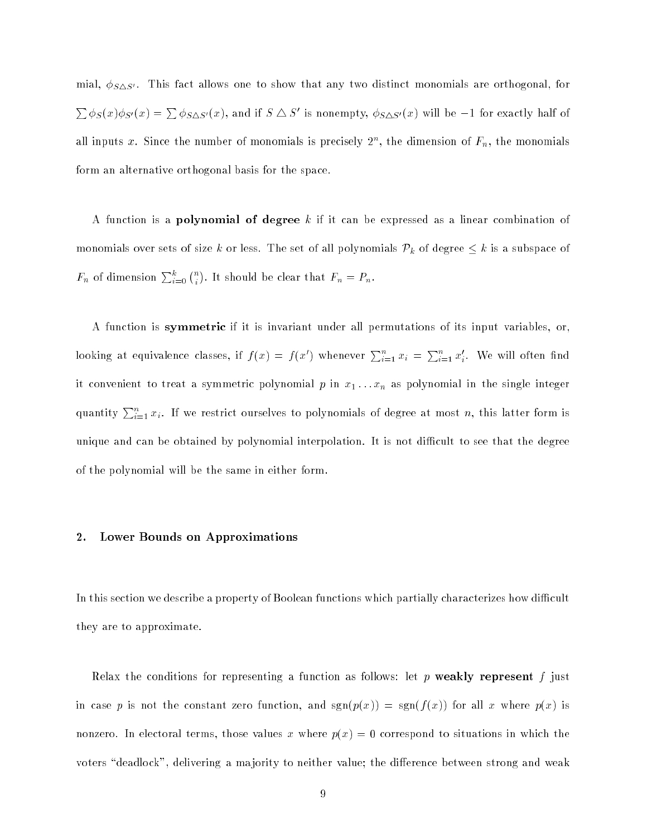mial,  $\phi_{S\Delta S'}$ . This fact allows one to show that any two distinct monomials are orthogonal, for  $\sum \phi_S(x) \phi_{S'}(x) = \sum \phi_{S \triangle S'}(x)$ , and if  $S \triangle S'$  is nonempty,  $\phi_{S \triangle S'}(x)$  will be  $-1$  for exactly half of all inputs x. Since the number of monomials is precisely  $2^n$ , the dimension of  $F_n$ , the monomials form an alternative orthogonal basis for the space.

A function is a **polynomial of degree** k if it can be expressed as a linear combination of monomials over sets of size k or less. The set of all polynomials  $\mathcal{P}_k$  of degree  $\leq k$  is a subspace of  $F_n$  of dimension  $\sum_{i=0}^k \binom{n}{i}$ . It should be clear that  $F_n = P_n$ .

A function is symmetric if it is invariant under all permutations of its input variables, or, looking at equivalence classes, if  $f(x) = f(x')$  whenever  $\sum_{i=1}^{n} x_i = \sum_{i=1}^{n} x'_i$ . We will often find  $\alpha$  convenient to treat a symmetric polynomial  $\rho$  in  $x_1 \ldots x_n$  as polynomial in the single integer quantity  $\sum_{i=1}^n x_i$ . If we restrict ourselves to polynomials of degree at most n, this latter form is unique and can be obtained by polynomial interpolation. It is not difficult to see that the degree of the polynomial will be the same in either form.

#### 2. Lower Bounds on Approximations

In this section we describe a property of Boolean functions which partially characterizes how difficult they are to approximate.

Relax the conditions for representing a function as follows: let p weakly represent f just in case p is not the constant zero function, and  $sgn(p(x)) = sgn(f(x))$  for all x where  $p(x)$  is nonzero. In electoral terms, those values x where  $p(x) = 0$  correspond to situations in which the voters "deadlock", delivering a majority to neither value; the difference between strong and weak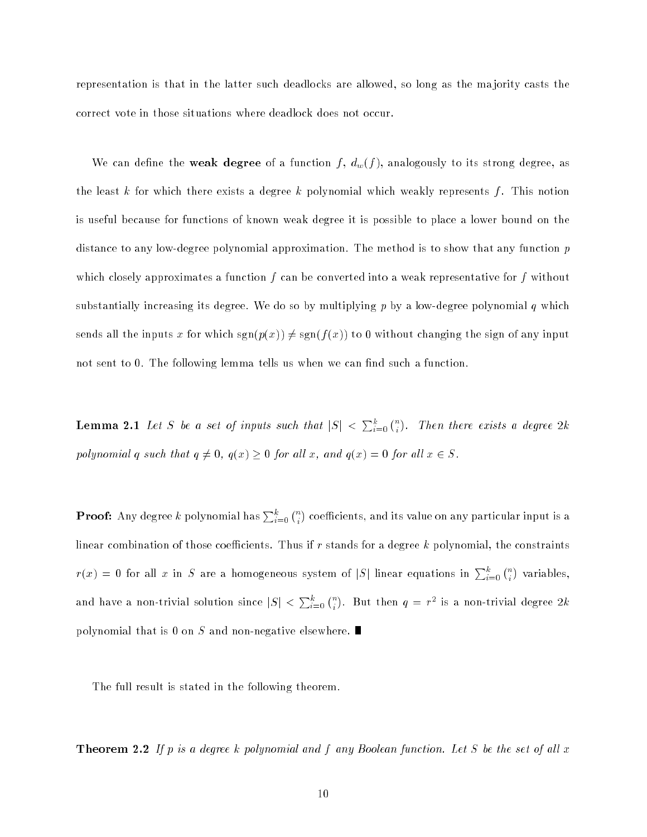representation is that in the latter such deadlocks are allowed, so long as the ma jority casts the correct vote in those situations where deadlock does not occur.

We can define the weak degree of a function f,  $d_w(f)$ , analogously to its strong degree, as the least k for which there exists a degree k polynomial which weakly represents f. This notion is useful because for functions of known weak degree it is possible to place a lower bound on the distance to any low-degree polynomial approximation. The method is to show that any function p which closely approximates a function f can be converted into a weak representative for f without substantially increasing its degree. We do so by multiplying  $p$  by a low-degree polynomial  $q$  which sends all the inputs x for which  $sgn(p(x)) \neq sgn(f(x))$  to 0 without changing the sign of any input not sent to 0. The following lemma tells us when we can find such a function.

**Lemma 2.1** Let S be a set of inputs such that  $|S| < \sum_{i=0}^{k} {n \choose i}$ . Then the next set of the next set of the next set of the set of the set of the set of the set of the set of the polynomial q such that  $q \neq 0$ ,  $q(x) \geq 0$  for all  $x$ , and  $q(x) = 0$  for all  $x \in S$ .

**Proof:** Any degree  $k$  polynomial has  $\sum_{i=0}^k\binom{n}{i}$ coecients, and its value on any particular input is any particular input is any particular input is a particular in linear combination of those coefficients. Thus if r stands for a degree  $k$  polynomial, the constraints  $r(x) = 0$  for all x in S are a homogeneous system of |S| linear equations in  $\sum_{i=0}^{k} {n \choose i}$ variables, and have a non-trivial solution since  $|S| < \sum_{i=0}^k \binom{n}{i}$ . But then  $q = r^-$  is a non-trivial degree  $2\kappa$ polynomial that is 0 on S and non-negative elsewhere.

The full result is stated in the following theorem.

**Theorem 2.2** If p is a degree k polynomial and f any Boolean function. Let S be the set of all x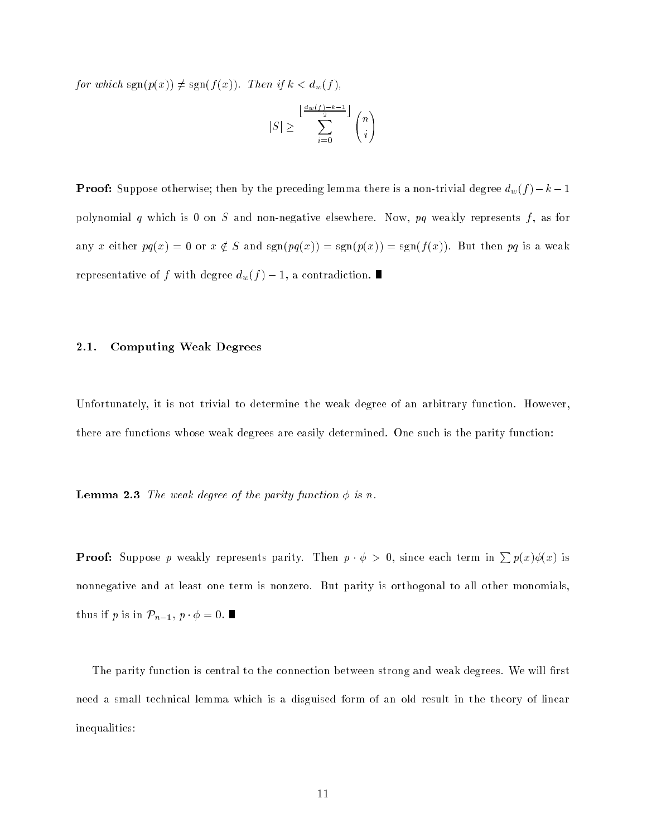for which  $sgn(p(x)) \neq sgn(f(x))$ . Then if  $k < d_w(f)$ ,

$$
|S| \geq \sum_{i=0}^{\left\lfloor\frac{d_w(f)-k-1}{2}\right\rfloor} \binom{n}{i}
$$

**Proof:** Suppose otherwise; then by the preceding lemma there is a non-trivial degree  $d_w(f) - k - 1$ polynomial  $q$  which is 0 on  $S$  and non-negative elsewhere. Now,  $pq$  weakly represents  $f$ , as for any x either  $pq(x) = 0$  or  $x \notin S$  and  $sgn(pq(x)) = sgn(p(x)) = sgn(f(x))$ . But then pq is a weak representative of f with degree  $d_w(f) - 1$ , a contradiction.

# 2.1. Computing Weak Degrees

Unfortunately, it is not trivial to determine the weak degree of an arbitrary function. However, there are functions whose weak degrees are easily determined. One such is the parity function:

**Lemma 2.3** The weak degree of the parity function  $\phi$  is n.

**Proof:** Suppose p weakly represents parity. Then  $p \cdot \phi > 0$ , since each term in  $\sum p(x)\phi(x)$  is nonnegative and at least one term is nonzero. But parity is orthogonal to all other monomials, thus if p is in  $\mathcal{P}_{n-1}$ ,  $p \cdot \phi = 0$ .

The parity function is central to the connection between strong and weak degrees. We will first need a small technical lemma which is a disguised form of an old result in the theory of linear inequalities: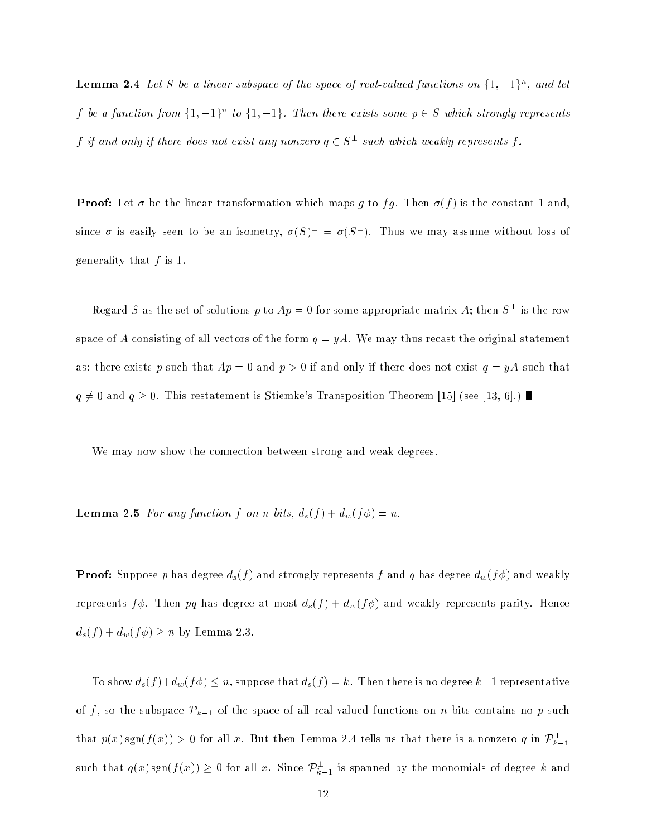**Lemma 2.4** Let S be a linear subspace of the space of real-valued functions on  $\{1, -1\}^n$ , and let f be a function from  $\{1, -1\}^n$  to  $\{1, -1\}$ . Then there exists some  $p \in S$  which strongly represents  $f$  if and only if there does not exist any nonzero  $q \in S^-$  such which weakly represents f .

**Proof:** Let  $\sigma$  be the linear transformation which maps g to fg. Then  $\sigma(f)$  is the constant 1 and, since  $\sigma$  is easily seen to be an isometry,  $\sigma(\beta)^{-} = \sigma(\beta^{-})$ . Thus we may assume without loss of generality that  $f$  is 1.

Regard S as the set of solutions p to  $Ap = 0$  for some appropriate matrix A; then  $S^-$  is the row space of A consisting of all vectors of the form  $q = yA$ . We may thus recast the original statement as: there exists p such that  $Ap = 0$  and  $p > 0$  if and only if there does not exist  $q = yA$  such that  $q \neq 0$  and  $q \geq 0$ . This restatement is Stiemke's Transposition Theorem [15] (see [13, 6].)

We may now show the connection between strong and weak degrees.

**Lemma 2.5** For any function f on n bits,  $d_s(f) + d_w(f\phi) = n$ .

**Proof:** Suppose p has degree  $d_s(f)$  and strongly represents f and q has degree  $d_w(f\phi)$  and weakly represents  $f\phi$ . Then pq has degree at most  $d_s(f) + d_w(f\phi)$  and weakly represents parity. Hence  $d_s(f) + d_w(f\phi) \geq n$  by Lemma 2.3

To show  $d_s(f) + d_w(f\phi) \leq n$ , suppose that  $d_s(f) = k$ . Then there is no degree  $k-1$  representative of f, so the subspace  $\mathcal{P}_{k-1}$  of the space of all real-valued functions on n bits contains no p such that  $p(x)$  sgn( $f(x)$ )  $>$  0 for all x. But then Lemma 2.4 tells us that there is a nonzero q in  $\overline{F_{k-1}}$ such that  $q(x) \operatorname{sgn}(f(x)) \geq 0$  for all x. Since  $\mathcal{P}_{k-1}^-$  is spanned by the monomials of degree  $\kappa$  and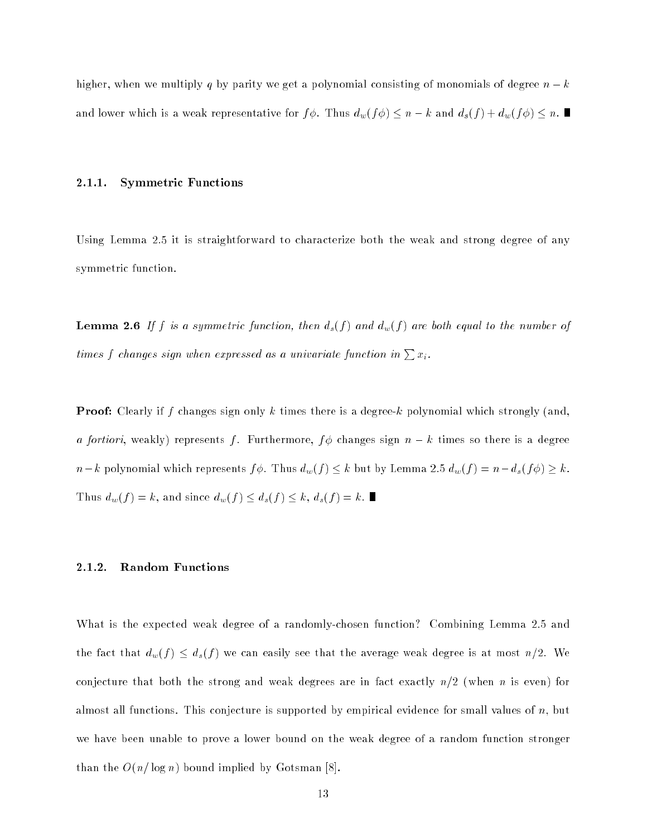higher, when we multiply q by parity we get a polynomial consisting of monomials of degree  $n - k$ and lower which is a weak representative for  $f\phi$ . Thus  $d_w(f\phi) \leq n - k$  and  $d_s(f) + d_w(f\phi) \leq n$ .

#### 2.1.1. Symmetric Functions

Using Lemma 2.5 it is straightforward to characterize both the weak and strong degree of any symmetric function.

**Lemma 2.6** If f is a symmetric function, then  $d_s(f)$  and  $d_w(f)$  are both equal to the number of times f changes sign when expressed as a univariate function in  $\sum x_i$ .

**Proof:** Clearly if f changes sign only k times there is a degree-k polynomial which strongly (and, a fortiori, weakly) represents f. Furthermore,  $f\phi$  changes sign  $n - k$  times so there is a degree  $n-k$  polynomial which represents  $f\phi$ . Thus  $d_w(f) \leq k$  but by Lemma 2.5  $d_w(f) = n-d_s(f\phi) \geq k$ . Thus  $d_w(f) = k$ , and since  $d_w(f) \leq d_s(f) \leq k$ ,  $d_s(f) = k$ .

#### 2.1.2. Random Functions

What is the expected weak degree of a randomly-chosen function? Combining Lemma 2.5 and the fact that  $d_w(f) \leq d_s(f)$  we can easily see that the average weak degree is at most  $n/2$ . We conjecture that both the strong and weak degrees are in fact exactly  $n/2$  (when n is even) for almost all functions. This conjecture is supported by empirical evidence for small values of  $n$ , but we have been unable to prove a lower bound on the weak degree of a random function stronger than the  $O(n/\log n)$  bound implied by Gotsman [8].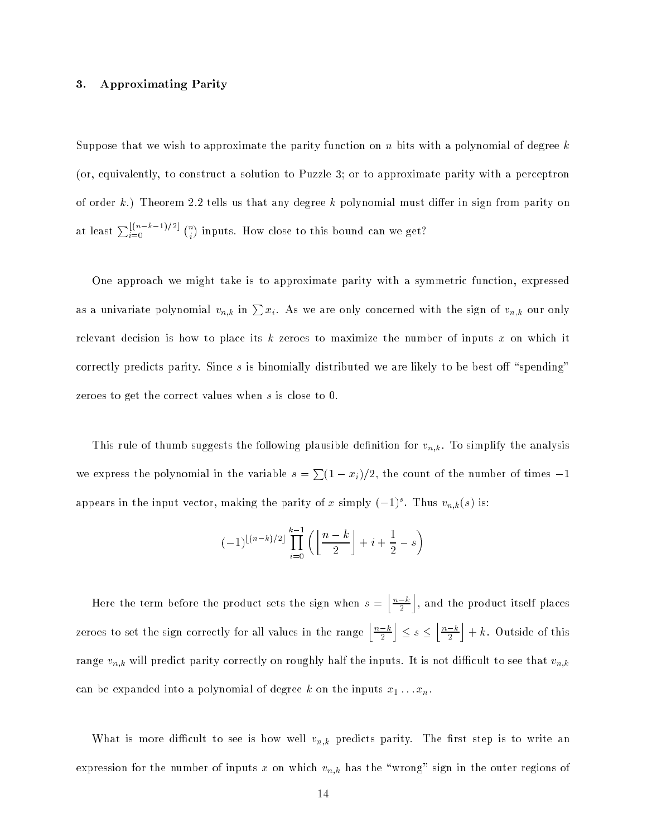# 3. Approximating Parity

Suppose that we wish to approximate the parity function on n bits with a polynomial of degree  $k$ (or, equivalently, to construct a solution to Puzzle 3; or to approximate parity with a perceptron of order k.) Theorem 2.2 tells us that any degree k polynomial must differ in sign from parity on at least  $\sum_{i=0}^{\lfloor (n-k-1)/2 \rfloor} \binom{n}{i}$ in the total density of the total density of  $\mathbf{M}$  we get  $\mathbf{M}$  we get  $\mathbf{M}$ 

One approach we might take is to approximate parity with a symmetric function, expressed as a univariate polynomial  $v_{n,k}$  in  $\sum x_i$ . As we are only concerned with the sign of  $v_{n,k}$  our only relevant decision is how to place its  $k$  zeroes to maximize the number of inputs  $x$  on which it correctly predicts parity. Since  $s$  is binomially distributed we are likely to be best off "spending" zeroes to get the correct values when s is close to 0.

This rule of thumb suggests the following plausible definition for  $v_{n,k}$ . To simplify the analysis we express the polynomial in the variable  $s = \sum (1 - x_i)/2$ , the count of the number of times  $-1$ appears in the input vector, making the parity of x simply  $(-1)^s$ . Thus  $v_{n,k}(s)$  is:

$$
(-1)^{\lfloor (n-k)/2 \rfloor} \prod_{i=0}^{k-1} \left( \left\lfloor \frac{n-k}{2} \right\rfloor + i + \frac{1}{2} - s \right)
$$

Here the term before the product sets the sign when s =  $n-k$  $$ ka kuning ang pag-, and the product itself products. zeroes to set the sign correctly for all values in the range  $\frac{n-k}{n}$  $\overline{\phantom{a}}$ k ka state and the contract of the contract of the contract of the contract of the contract of the contract of the  $\mid n-k$  $\overline{\phantom{a}}$ ka kuning ang kalawang pangangang pangangang pangangang pangangang pangangang pangang pangang pangang pangang pangang pangang pangang pangang pangang pangang pangang pangang pangang pangang pangang pangang pangang pangang  $+$  k. Outside of this contribution of the outside of the outside of the outside of the outside of the outside of the outside of the outside of the outside of the outside of the outside of the outside of the outside of th range  $v_{n,k}$  will predict parity correctly on roughly half the inputs. It is not difficult to see that  $v_{n,k}$ can be expanded into a polynomial of degree  $\kappa$  on the inputs  $x_1 \ldots x_n$ .

What is more difficult to see is how well  $v_{n,k}$  predicts parity. The first step is to write an expression for the number of inputs x on which  $v_{n,k}$  has the "wrong" sign in the outer regions of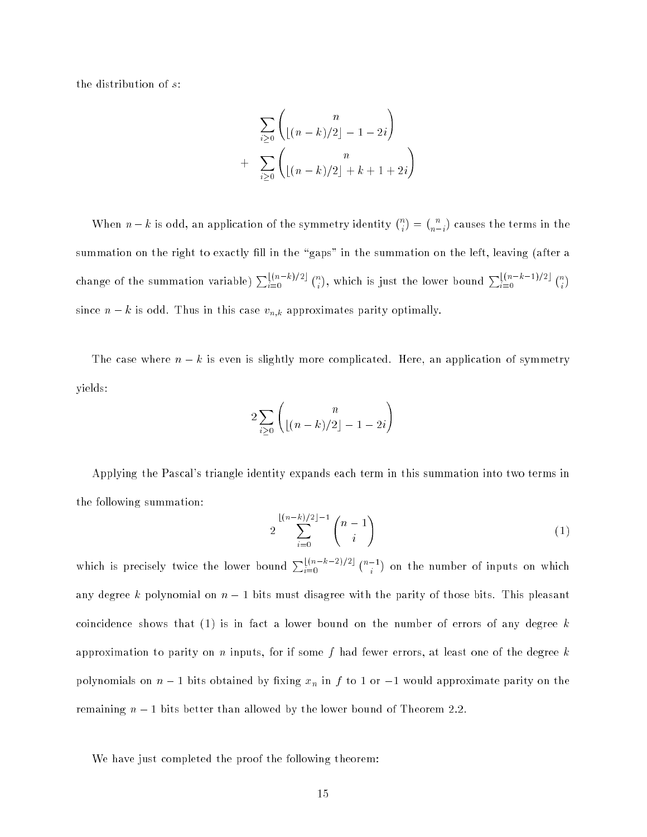the distribution of s:

$$
\sum_{i\geq 0} \binom{n}{\lfloor (n-k)/2 \rfloor - 1 - 2i}
$$
  
+ 
$$
\sum_{i\geq 0} \binom{n}{\lfloor (n-k)/2 \rfloor + k + 1 + 2i}
$$

when  $\alpha$  is odd, and the symmetry identity is one of the symmetry identity,  $\binom{n}{i}$  $\binom{n}{n-i}$ summation on the right to exactly fill in the "gaps" in the summation on the left, leaving (after a change of the summation variable)  $\sum_{i=0}^{\lfloor (n-k)/2 \rfloor} {n \choose i}$ , which is just the lower bound  $\sum_{i=0}^{\lfloor (n-k-1)/2 \rfloor} {n \choose i}$ since  $n - k$  is odd. Thus in this case  $v_{n,k}$  approximates parity optimally.

The case where  $n - k$  is even is slightly more complicated. Here, an application of symmetry yields:

$$
2\sum_{i\geq 0}\binom{n}{\lfloor (n-k)/2\rfloor -1 - 2i}
$$

Applying the Pascal's triangle identity expands each term in this summation into two terms in the following summation:

$$
2\sum_{i=0}^{\lfloor (n-k)/2 \rfloor -1} \binom{n-1}{i} \tag{1}
$$

which is precisely twice the lower bound  $\sum_{i=0}^{\lfloor (n-k-2)/2 \rfloor} \binom{n-1}{i}$ on the number of inputs on which is a set of inputs on which inputs on which is a set of inputs on  $\mathbb{P}^n$ any degree k polynomial on  $n-1$  bits must disagree with the parity of those bits. This pleasant coincidence shows that  $(1)$  is in fact a lower bound on the number of errors of any degree k approximation to parity on n inputs, for if some f had fewer errors, at least one of the degree  $k$ polynomials on  $n-1$  bits obtained by fixing  $x_n$  in f to 1 or  $-1$  would approximate parity on the remaining  $n-1$  bits better than allowed by the lower bound of Theorem 2.2.

We have just completed the proof the following theorem: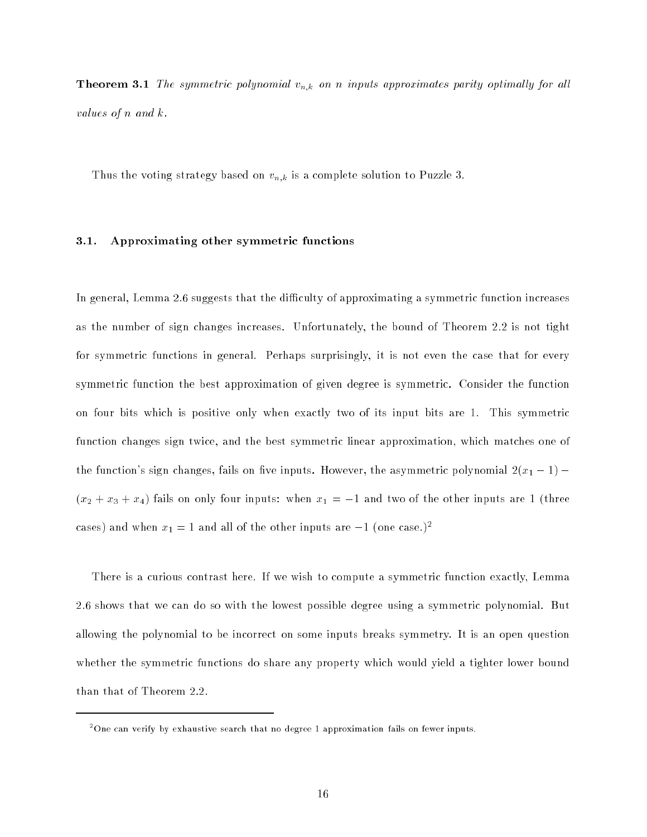**Theorem 3.1** The symmetric polynomial  $v_{n,k}$  on n inputs approximates parity optimally for all values of n and  $k$ .

Thus the voting strategy based on  $v_{n,k}$  is a complete solution to Puzzle 3.

# 3.1. Approximating other symmetric functions

In general, Lemma 2.6 suggests that the difficulty of approximating a symmetric function increases as the number of sign changes increases. Unfortunately, the bound of Theorem 2.2 is not tight for symmetric functions in general. Perhaps surprisingly, it is not even the case that for every symmetric function the best approximation of given degree is symmetric. Consider the function on four bits which is positive only when exactly two of its input bits are 1. This symmetric function changes sign twice, and the best symmetric linear approximation, which matches one of the function's sign changes, fails on five inputs. However, the asymmetric polynomial  $2(x_1 - 1)$  – (x2 + x3) + x4) fails on only four inputs: when  $\alpha$  = 1 and two of the other inputs are  $1$  (three cases) and when  $x_1 = 1$  and all of the other inputs are  $-1$  (one case.)<sup>2</sup>

There is a curious contrast here. If we wish to compute a symmetric function exactly, Lemma 2.6 shows that we can do so with the lowest possible degree using a symmetric polynomial. But allowing the polynomial to be incorrect on some inputs breaks symmetry. It is an open question whether the symmetric functions do share any property which would yield a tighter lower bound than that of Theorem 2.2.

<sup>2</sup> One can verify by exhaustive search that no degree 1 approximation fails on fewer inputs.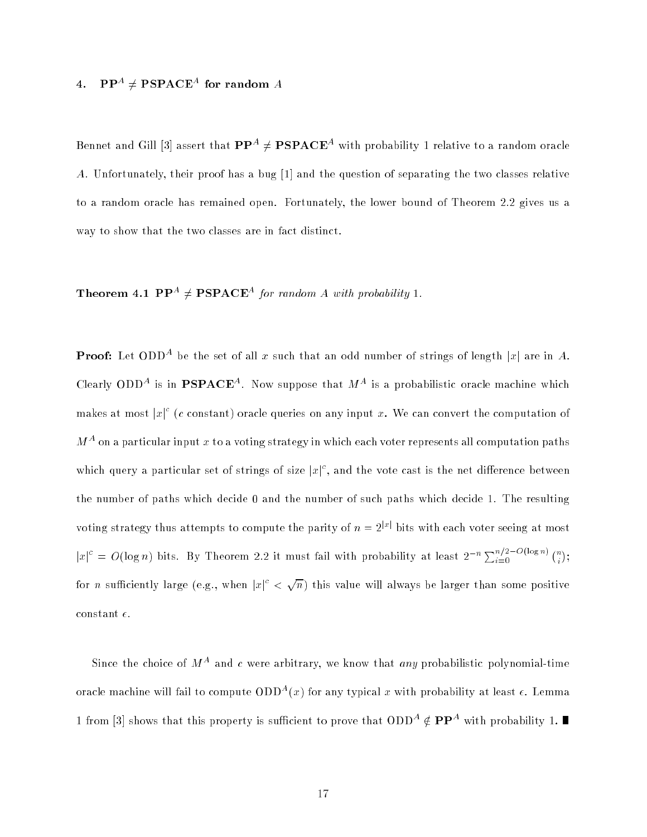# 4.  $\mathbf{PP}^{A} \neq \mathbf{PSPACE}^{A}$  for random  $A$

Bennet and Gill [3] assert that  $\mathbf{PP}^A \neq \mathbf{PSPACE}^A$  with probability 1 relative to a random oracle A. Unfortunately, their proof has a bug [1] and the question of separating the two classes relative to a random oracle has remained open. Fortunately, the lower bound of Theorem 2.2 gives us a way to show that the two classes are in fact distinct.

# **Theorem 4.1 PP**<sup>A</sup>  $\neq$  **PSPACE**<sup>A</sup> for random A with probability 1.

**Proof:** Let ODD<sup>A</sup> be the set of all x such that an odd number of strings of length |x| are in A. Clearly ODD<sup>A</sup> is in **PSPACE**<sup>A</sup>. Now suppose that  $M<sup>A</sup>$  is a probabilistic oracle machine which makes at most  $|x|^c$  (c constant) oracle queries on any input x. We can convert the computation of  $M^A$  on a particular input x to a voting strategy in which each voter represents all computation paths which query a particular set of strings of size  $|x|^c$ , and the vote cast is the net difference between the number of paths which decide 0 and the number of such paths which decide 1. The resulting voting strategy thus attempts to compute the parity of  $n = 2^{|x|}$  bits with each voter seeing at most  $|x|^c = O(\log n)$  bits. By Theorem 2.2 it must fail with probability at least  $2^{-n} \sum_{i=0}^{n/2 - O(\log n)} {n \choose i}$ for *n* sufficiently large (e.g., when  $|x|^c <$  $\sqrt{n}$ ) this value will always be larger than some positive constant  $\epsilon$ .

Since the choice of  $M^A$  and c were arbitrary, we know that any probabilistic polynomial-time oracle machine will fail to compute  $ODD<sup>A</sup>(x)$  for any typical x with probability at least  $\epsilon$ . Lemma 1 from [3] shows that this property is sufficient to prove that ODD<sup>A</sup>  $\notin$  **PP**<sup>A</sup> with probability 1.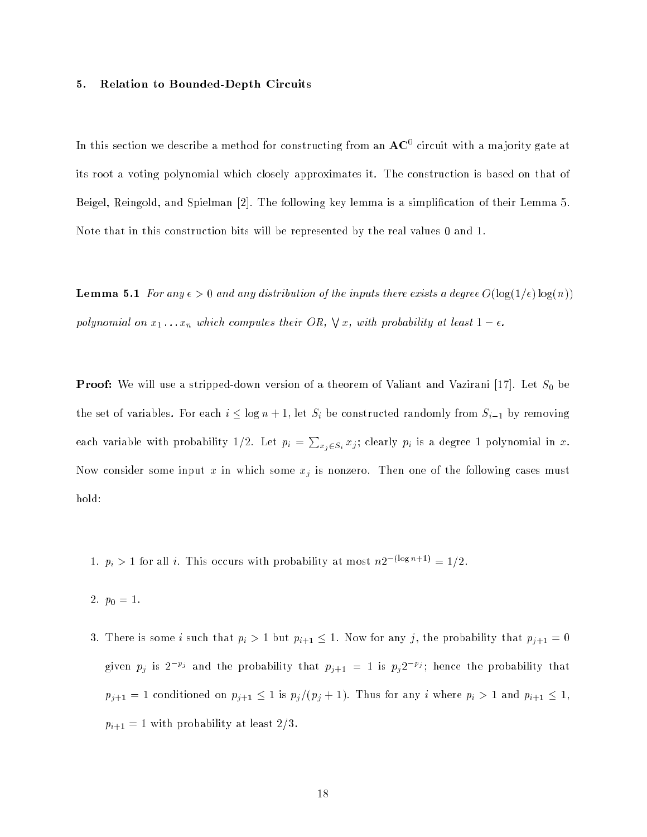#### 5. Relation to Bounded-Depth Circuits

In this section we describe a method for constructing from an  $\rm{AC}^+$  circuit with a majority gate at its root a voting polynomial which closely approximates it. The construction is based on that of Beigel, Reingold, and Spielman [2]. The following key lemma is a simplication of their Lemma 5. Note that in this construction bits will be represented by the real values 0 and 1.

**Lemma 5.1** For any  $\epsilon > 0$  and any distribution of the inputs there exists a degree  $O(\log(1/\epsilon) \log(n))$ polynomial on  $x_1 \ldots x_n$  which computes their OR,  $\forall x$ , with probability at least  $1 - \epsilon$ .

Proof: We will use a stripped-down version of a theorem of Valiant and Vazirani [17]. Let S0 be the set of variables. For each  $i \leq \log n + 1$ , let  $S_i$  be constructed randomly from  $S_{i-1}$  by removing each variable with probability 1/2. Let  $p_i = \sum_{x_j \in S_i} x_j$ ; clearly  $p_i$  is a degree 1 polynomial in x. Now consider some input x in which some  $x_j$  is nonzero. Then one of the following cases must hold:

- 1.  $p_i > 1$  for all i. This occurs with probability at most  $n2^{-(\log n+1)} = 1/2$ .
- 2. p0 = 1.
- 3. There is some *i* such that  $p_i > 1$  but  $p_{i+1} \leq 1$ . Now for any *j*, the probability that  $p_{j+1} = 0$ given  $p_j$  is  $2^{-p_j}$  and the probability that  $p_{j+1} = 1$  is  $p_j 2^{-p_j}$ ; hence the probability that  $p_{j+1} = 1$  conditioned on  $p_{j+1} \leq 1$  is  $p_j/(p_j + 1)$ . Thus for any i where  $p_i > 1$  and  $p_{i+1} \leq 1$ ,  $p_{i+1} = 1$  with probability at least  $2/3$ .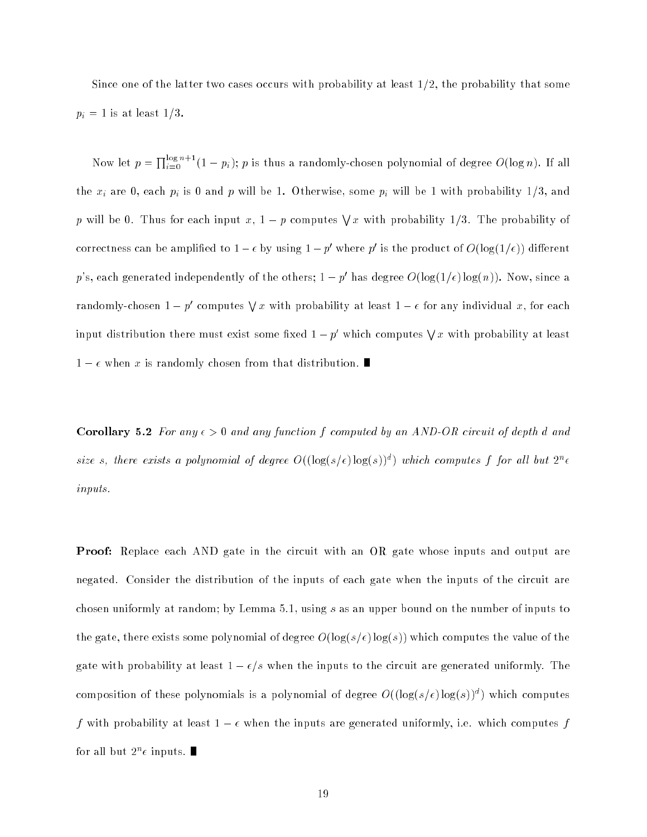Since one of the latter two cases occurs with probability at least  $1/2$ , the probability that some  $p_i = 1$  is at least  $1/3$ .

Now let  $p = \prod_{i=0}^{\log n+1} (1-p_i)$ ; p is thus a randomly-chosen polynomial of degree  $O(\log n)$ . If all the  $x_i$  are 0, each  $p_i$  is 0 and p will be 1. Otherwise, some  $p_i$  will be 1 with probability 1/3, and p will be 0. Thus for each input x,  $1-p$  computes  $\forall x$  with probability 1/3. The probability of correctness can be amplified to  $1-\epsilon$  by using  $1-p$  where  $p$  is the product of  $O( \log(1/\epsilon))$  different p's, each generated independently of the others;  $1-p'$  has degree  $O(\log(1/\epsilon) \log(n))$ . Now, since a randomly-chosen  $1-p'$  computes  $\forall x$  with probability at least  $1-\epsilon$  for any individual x, for each input distribution there must exist some fixed  $1-p'$  which computes  $\forall x$  with probability at least  $1 - \epsilon$  when x is randomly chosen from that distribution.

Corollary 5.2 For any  $\epsilon > 0$  and any function f computed by an AND-OR circuit of depth d and size s, there exists a polynomial of degree  $O((\log(s/\epsilon) \log(s))^d)$  which computes f for all but  $2^n \epsilon$ inputs.

**Proof:** Replace each AND gate in the circuit with an OR gate whose inputs and output are negated. Consider the distribution of the inputs of each gate when the inputs of the circuit are chosen uniformly at random; by Lemma 5.1, using s as an upper bound on the number of inputs to the gate, there exists some polynomial of degree  $O(\log(s/\epsilon) \log(s))$  which computes the value of the gate with probability at least  $1 - \epsilon/s$  when the inputs to the circuit are generated uniformly. The composition of these polynomials is a polynomial of degree  $O((\log(s/\epsilon) \log(s))^d)$  which computes f with probability at least  $1 - \epsilon$  when the inputs are generated uniformly, i.e. which computes f for all but  $2^n\epsilon$  inputs.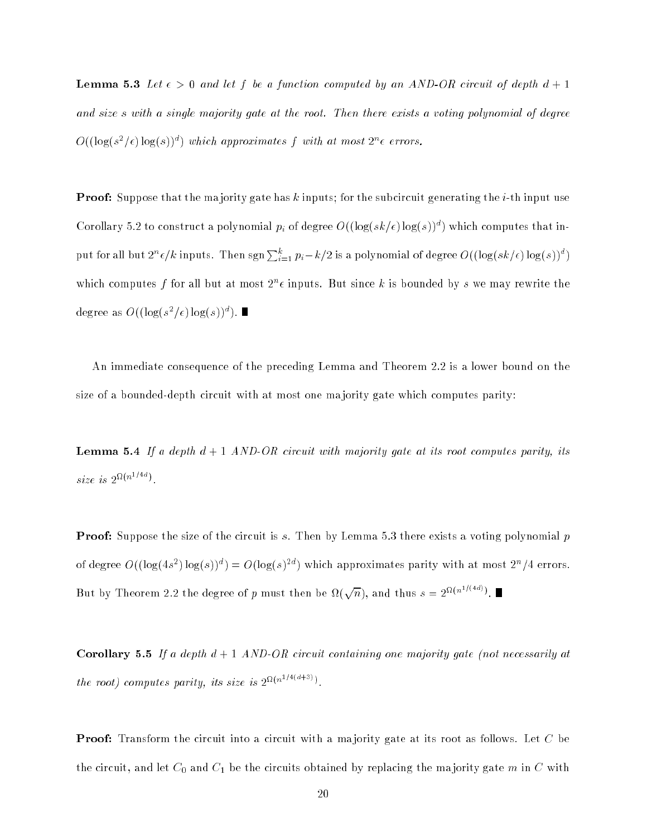**Lemma 5.3** Let  $\epsilon > 0$  and let f be a function computed by an AND-OR circuit of depth  $d + 1$ and size s with a single majority gate at the root. Then there exists a voting polynomial of degree  $O((\log(s^2/\epsilon)\log(s))^d)$  which approximates f with at most  $2^n\epsilon$  errors.

**Proof:** Suppose that the majority gate has k inputs; for the subcircuit generating the *i*-th input use Corollary 5.2 to construct a polynomial  $p_i$  of degree  $O((\log(sk/\epsilon) \log(s))^d)$  which computes that input for all but  $2^n \epsilon/k$  inputs. Then  $\text{sgn}\sum_{i=1}^k p_i - k/2$  is a polynomial of degree  $O((\log (sk/\epsilon)\log(s))^d)$ which computes f for all but at most  $2^n\epsilon$  inputs. But since k is bounded by s we may rewrite the degree as  $O((\log(s^2/\epsilon)\log(s))^d)$ .

An immediate consequence of the preceding Lemma and Theorem 2.2 is a lower bound on the size of a bounded-depth circuit with at most one ma jority gate which computes parity:

**Lemma 5.4** If a depth  $d + 1$  AND-OR circuit with majority gate at its root computes parity, its size is  $2^{n(n+1)}$ .

**Proof:** Suppose the size of the circuit is s. Then by Lemma 5.3 there exists a voting polynomial p of degree  $O((\log(4s^2)\log(s))^d) = O(\log(s)^{2d})$  which approximates parity with at most  $2^n/4$  errors. But by Theorem 2.2 the degree of p must then be  $\Omega(\sqrt{n})$ , and thus  $s = 2^{\Omega(n^2/(4a)})$ .

**Corollary 5.5** If a depth  $d + 1$  AND-OR circuit containing one majority gate (not necessarily at the root) computes parity, its size is  $2^{M(n+1)(3+3)}$ .

**Proof:** Transform the circuit into a circuit with a majority gate at its root as follows. Let C be the circuit, and let C0 and C1 be the circuits obtained by replacing the ma jority gate <sup>m</sup> in <sup>C</sup> with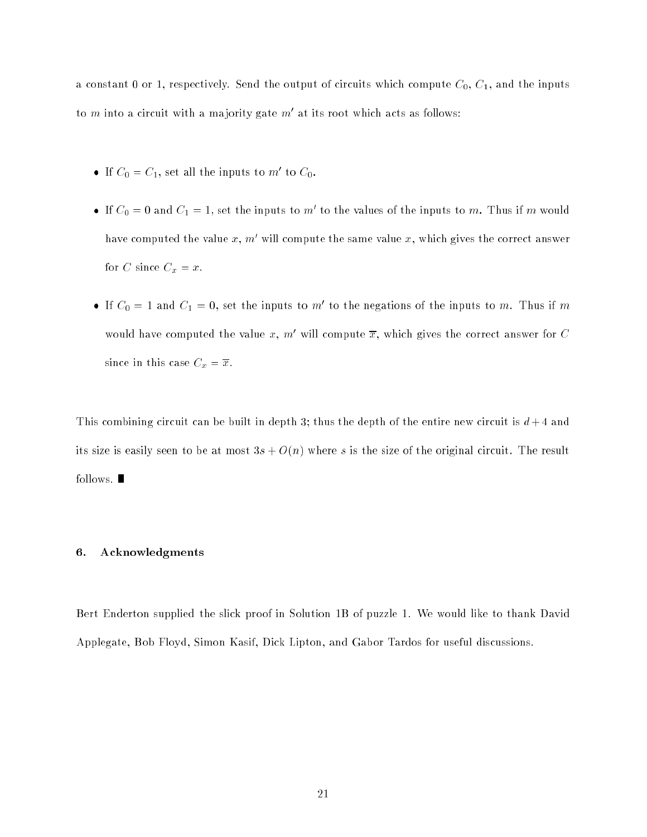a constant 0 or 1, respectively. Send the output of circuits which compute  $C_0$ ,  $C_1$ , and the inputs to  $m$  into a circuit with a majority gate  $m$  at its root which acts as follows:

- $\bullet$  If  $\cup_0 = \cup_1$ , set all the inputs to m to  $\cup_0$ .
- $\bullet$  If  $\epsilon_0$  = 0 and  $\epsilon_1$  = 1, set the inputs to m to the values of the inputs to m. Thus if m would have computed the value  $x, m'$  will compute the same value  $x$ , which gives the correct answer for C since  $C_x = x$ .
- $\bullet$  If  $\circ$   $\circ$  = 1 and  $\circ$  1 = 0, set the inputs to m to the negations of the inputs to m. Thus if m would have computed the value x, m' will compute  $\overline{x}$ , which gives the correct answer for C since in this case  $C_x = \overline{x}$ .

This combining circuit can be built in depth 3; thus the depth of the entire new circuit is  $d+4$  and its size is easily seen to be at most  $3s + O(n)$  where s is the size of the original circuit. The result follows.  $\blacksquare$ 

# 6. Acknowledgments

Bert Enderton supplied the slick proof in Solution 1B of puzzle 1. We would like to thank David Applegate, Bob Floyd, Simon Kasif, Dick Lipton, and Gabor Tardos for useful discussions.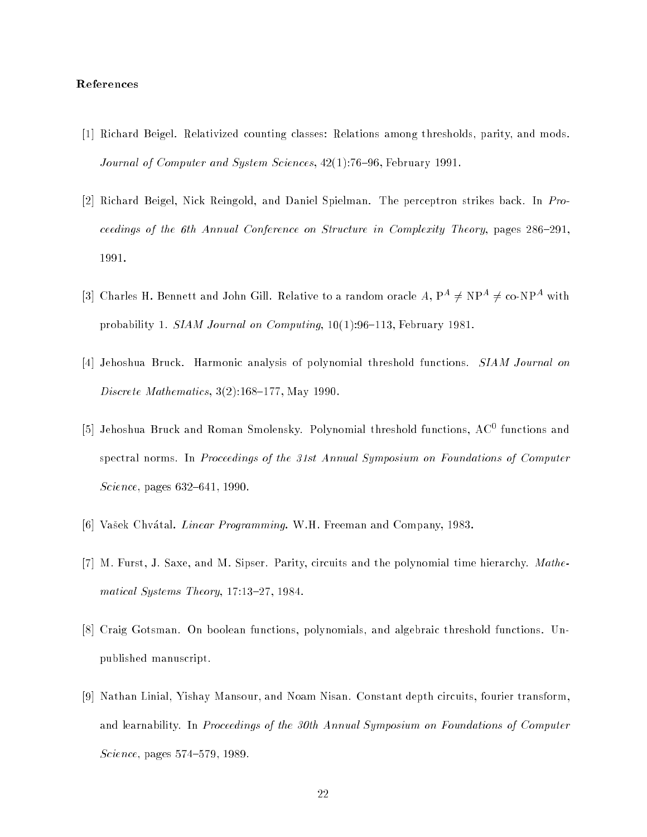# References

- [1] Richard Beigel. Relativized counting classes: Relations among thresholds, parity, and mods. Journal of Computer and System Sciences,  $42(1)$ :76-96, February 1991.
- [2] Richard Beigel, Nick Reingold, and Daniel Spielman. The perceptron strikes back. In Proceedings of the 6th Annual Conference on Structure in Complexity Theory, pages  $286{-}291$ . 1991.
- [3] Charles H. Bennett and John Gill. Relative to a random oracle  $A, P^A \neq NP^A \neq co-NP^A$  with probability 1. SIAM Journal on Computing,  $10(1):96-113$ , February 1981.
- [4] Jehoshua Bruck. Harmonic analysis of polynomial threshold functions. SIAM Journal on Discrete Mathematics,  $3(2):168-177$ , May 1990.
- [5] Jehoshua Bruck and Roman Smolensky. Polynomial threshold functions, AC<sup>0</sup> functions and spectral norms. In Proceedings of the 31st Annual Symposium on Foundations of Computer Science, pages  $632{-}641, 1990$ .
- [6] Vašek Chvátal. *Linear Programming*. W.H. Freeman and Company, 1983.
- [7] M. Furst, J. Saxe, and M. Sipser. Parity, circuits and the polynomial time hierarchy. Mathematical Systems Theory, 17:13-27, 1984.
- [8] Craig Gotsman. On boolean functions, polynomials, and algebraic threshold functions. Unpublished manuscript.
- [9] Nathan Linial, Yishay Mansour, and Noam Nisan. Constant depth circuits, fourier transform, and learnability. In Proceedings of the 30th Annual Symposium on Foundations of Computer  $Science, pages 574–579, 1989.$